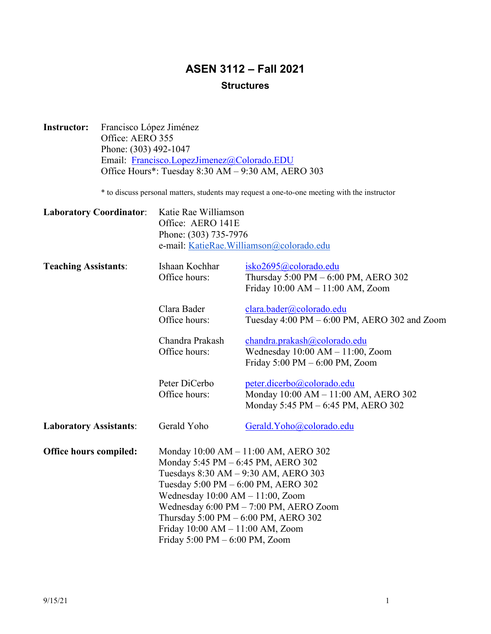# **ASEN 3112 – Fall 2021 Structures**

**Instructor:** Francisco López Jiménez Office: AERO 355 Phone: (303) 492-1047 Email: [Francisco.LopezJimenez@Colorado.EDU](mailto:Francisco.LopezJimenez@Colorado.EDU)  Office Hours\*: Tuesday 8:30 AM – 9:30 AM, AERO 303

\* to discuss personal matters, students may request a one-to-one meeting with the instructor

| <b>Laboratory Coordinator:</b> | Katie Rae Williamson<br>Office: AERO 141E<br>Phone: (303) 735-7976<br>e-mail: KatieRae.Williamson@colorado.edu                                                                                                                                                                                                                                                 |                                                                                                                            |
|--------------------------------|----------------------------------------------------------------------------------------------------------------------------------------------------------------------------------------------------------------------------------------------------------------------------------------------------------------------------------------------------------------|----------------------------------------------------------------------------------------------------------------------------|
| <b>Teaching Assistants:</b>    | Ishaan Kochhar<br>Office hours:                                                                                                                                                                                                                                                                                                                                | isko2695@colorado.edu<br>Thursday $5:00 \text{ PM} - 6:00 \text{ PM}$ , AERO 302<br>Friday $10:00$ AM $- 11:00$ AM, Zoom   |
|                                | Clara Bader<br>Office hours:                                                                                                                                                                                                                                                                                                                                   | clara.bader@colorado.edu<br>Tuesday 4:00 PM - 6:00 PM, AERO 302 and Zoom                                                   |
|                                | Chandra Prakash<br>Office hours:                                                                                                                                                                                                                                                                                                                               | chandra.prakash@colorado.edu<br>Wednesday $10:00$ AM $- 11:00$ , Zoom<br>Friday $5:00 \text{ PM} - 6:00 \text{ PM}$ , Zoom |
|                                | Peter DiCerbo<br>Office hours:                                                                                                                                                                                                                                                                                                                                 | peter.dicerbo@colorado.edu<br>Monday 10:00 AM - 11:00 AM, AERO 302<br>Monday 5:45 PM - 6:45 PM, AERO 302                   |
| <b>Laboratory Assistants:</b>  | Gerald Yoho                                                                                                                                                                                                                                                                                                                                                    | Gerald. Yoho@colorado.edu                                                                                                  |
| Office hours compiled:         | Monday 10:00 AM - 11:00 AM, AERO 302<br>Monday 5:45 PM - 6:45 PM, AERO 302<br>Tuesdays 8:30 AM - 9:30 AM, AERO 303<br>Tuesday 5:00 PM - 6:00 PM, AERO 302<br>Wednesday $10:00$ AM $- 11:00$ , Zoom<br>Wednesday 6:00 PM - 7:00 PM, AERO Zoom<br>Thursday 5:00 PM - 6:00 PM, AERO 302<br>Friday $10:00$ AM $- 11:00$ AM, Zoom<br>Friday 5:00 PM - 6:00 PM, Zoom |                                                                                                                            |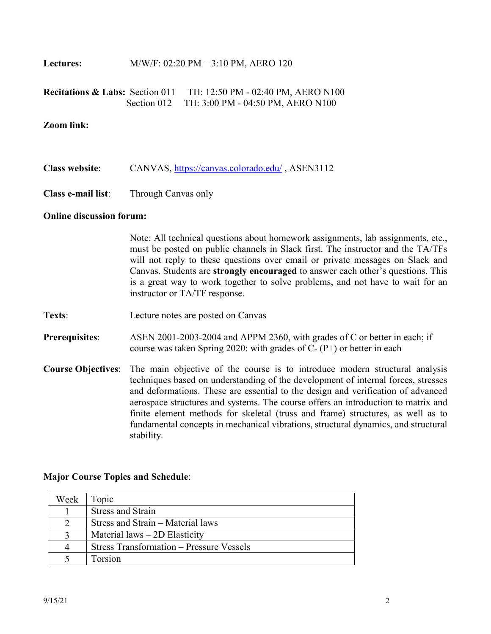**Lectures:** M/W/F: 02:20 PM – 3:10 PM, AERO 120

| <b>Recitations &amp; Labs:</b> Section 011 | TH: 12:50 PM - 02:40 PM, AERO N100            |
|--------------------------------------------|-----------------------------------------------|
|                                            | Section 012 TH: 3:00 PM - 04:50 PM, AERO N100 |

#### **Zoom link:**

- **Class website**: CANVAS,<https://canvas.colorado.edu/>, ASEN3112
- **Class e-mail list**: Through Canvas only

#### **Online discussion forum:**

Note: All technical questions about homework assignments, lab assignments, etc., must be posted on public channels in Slack first. The instructor and the TA/TFs will not reply to these questions over email or private messages on Slack and Canvas. Students are **strongly encouraged** to answer each other's questions. This is a great way to work together to solve problems, and not have to wait for an instructor or TA/TF response.

- **Texts**: Lecture notes are posted on Canvas
- **Prerequisites**: ASEN 2001-2003-2004 and APPM 2360, with grades of C or better in each; if course was taken Spring 2020: with grades of  $C-(P+)$  or better in each
- **Course Objectives**: The main objective of the course is to introduce modern structural analysis techniques based on understanding of the development of internal forces, stresses and deformations. These are essential to the design and verification of advanced aerospace structures and systems. The course offers an introduction to matrix and finite element methods for skeletal (truss and frame) structures, as well as to fundamental concepts in mechanical vibrations, structural dynamics, and structural stability.

#### **Major Course Topics and Schedule**:

| Week | Topic                                           |
|------|-------------------------------------------------|
|      | <b>Stress and Strain</b>                        |
|      | Stress and Strain – Material laws               |
|      | Material $laws - 2D$ Elasticity                 |
|      | <b>Stress Transformation – Pressure Vessels</b> |
|      | Forsion                                         |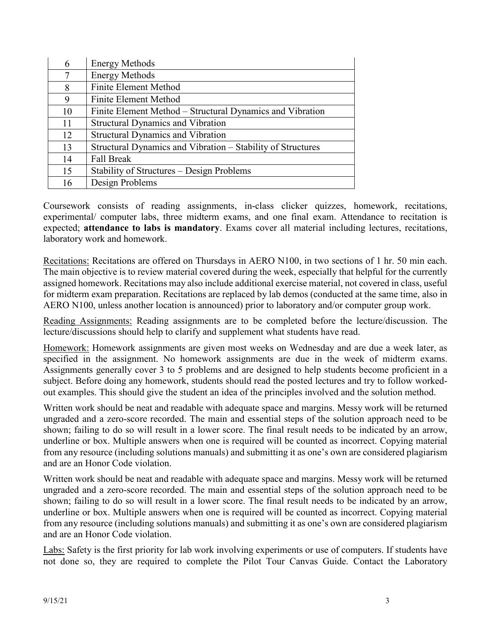| 6  | <b>Energy Methods</b>                                       |
|----|-------------------------------------------------------------|
| 7  | <b>Energy Methods</b>                                       |
| 8  | <b>Finite Element Method</b>                                |
| 9  | Finite Element Method                                       |
| 10 | Finite Element Method - Structural Dynamics and Vibration   |
| 11 | <b>Structural Dynamics and Vibration</b>                    |
| 12 | <b>Structural Dynamics and Vibration</b>                    |
| 13 | Structural Dynamics and Vibration – Stability of Structures |
| 14 | <b>Fall Break</b>                                           |
| 15 | Stability of Structures – Design Problems                   |
| 16 | Design Problems                                             |

Coursework consists of reading assignments, in-class clicker quizzes, homework, recitations, experimental/ computer labs, three midterm exams, and one final exam. Attendance to recitation is expected; **attendance to labs is mandatory**. Exams cover all material including lectures, recitations, laboratory work and homework.

Recitations: Recitations are offered on Thursdays in AERO N100, in two sections of 1 hr. 50 min each. The main objective is to review material covered during the week, especially that helpful for the currently assigned homework. Recitations may also include additional exercise material, not covered in class, useful for midterm exam preparation. Recitations are replaced by lab demos (conducted at the same time, also in AERO N100, unless another location is announced) prior to laboratory and/or computer group work.

Reading Assignments: Reading assignments are to be completed before the lecture/discussion. The lecture/discussions should help to clarify and supplement what students have read.

Homework: Homework assignments are given most weeks on Wednesday and are due a week later, as specified in the assignment. No homework assignments are due in the week of midterm exams. Assignments generally cover 3 to 5 problems and are designed to help students become proficient in a subject. Before doing any homework, students should read the posted lectures and try to follow workedout examples. This should give the student an idea of the principles involved and the solution method.

Written work should be neat and readable with adequate space and margins. Messy work will be returned ungraded and a zero-score recorded. The main and essential steps of the solution approach need to be shown; failing to do so will result in a lower score. The final result needs to be indicated by an arrow, underline or box. Multiple answers when one is required will be counted as incorrect. Copying material from any resource (including solutions manuals) and submitting it as one's own are considered plagiarism and are an Honor Code violation.

Written work should be neat and readable with adequate space and margins. Messy work will be returned ungraded and a zero-score recorded. The main and essential steps of the solution approach need to be shown; failing to do so will result in a lower score. The final result needs to be indicated by an arrow, underline or box. Multiple answers when one is required will be counted as incorrect. Copying material from any resource (including solutions manuals) and submitting it as one's own are considered plagiarism and are an Honor Code violation.

Labs: Safety is the first priority for lab work involving experiments or use of computers. If students have not done so, they are required to complete the Pilot Tour Canvas Guide. Contact the Laboratory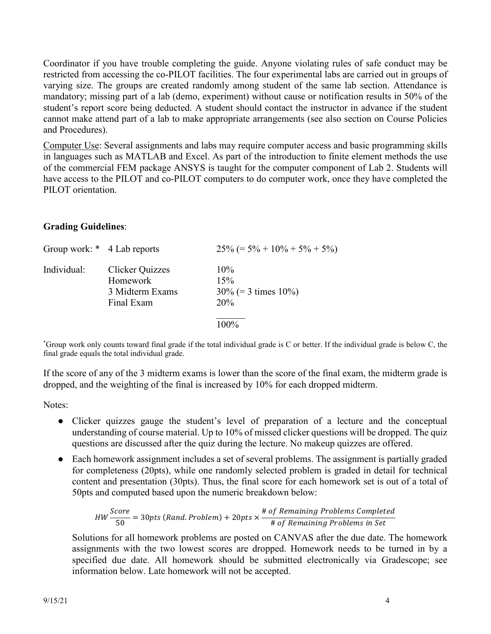Coordinator if you have trouble completing the guide. Anyone violating rules of safe conduct may be restricted from accessing the co-PILOT facilities. The four experimental labs are carried out in groups of varying size. The groups are created randomly among student of the same lab section. Attendance is mandatory; missing part of a lab (demo, experiment) without cause or notification results in 50% of the student's report score being deducted. A student should contact the instructor in advance if the student cannot make attend part of a lab to make appropriate arrangements (see also section on Course Policies and Procedures).

Computer Use: Several assignments and labs may require computer access and basic programming skills in languages such as MATLAB and Excel. As part of the introduction to finite element methods the use of the commercial FEM package ANSYS is taught for the computer component of Lab 2. Students will have access to the PILOT and co-PILOT computers to do computer work, once they have completed the PILOT orientation.

# **Grading Guidelines**:

| Group work: * 4 Lab reports |                                                              | $25\%$ (= 5% + 10% + 5% + 5%)                  |
|-----------------------------|--------------------------------------------------------------|------------------------------------------------|
| Individual:                 | Clicker Quizzes<br>Homework<br>3 Midterm Exams<br>Final Exam | $10\%$<br>15%<br>$30\%$ (= 3 times 10%)<br>20% |
|                             |                                                              | 100%                                           |

\* Group work only counts toward final grade if the total individual grade is C or better. If the individual grade is below C, the final grade equals the total individual grade.

If the score of any of the 3 midterm exams is lower than the score of the final exam, the midterm grade is dropped, and the weighting of the final is increased by 10% for each dropped midterm.

Notes:

- Clicker quizzes gauge the student's level of preparation of a lecture and the conceptual understanding of course material. Up to 10% of missed clicker questions will be dropped. The quiz questions are discussed after the quiz during the lecture. No makeup quizzes are offered.
- Each homework assignment includes a set of several problems. The assignment is partially graded for completeness (20pts), while one randomly selected problem is graded in detail for technical content and presentation (30pts). Thus, the final score for each homework set is out of a total of 50pts and computed based upon the numeric breakdown below:

$$
HW \frac{Score}{50} = 30pts (Rand. Problem) + 20pts \times \frac{\# of Remaining Problems Completed}{\# of Remaining Problems in Set}
$$

Solutions for all homework problems are posted on CANVAS after the due date. The homework assignments with the two lowest scores are dropped. Homework needs to be turned in by a specified due date. All homework should be submitted electronically via Gradescope; see information below. Late homework will not be accepted.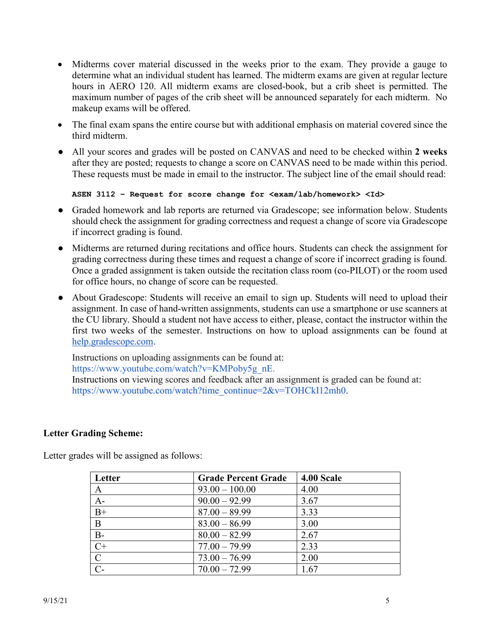- Midterms cover material discussed in the weeks prior to the exam. They provide a gauge to determine what an individual student has learned. The midterm exams are given at regular lecture hours in AERO 120. All midterm exams are closed-book, but a crib sheet is permitted. The maximum number of pages of the crib sheet will be announced separately for each midterm. No makeup exams will be offered.
- The final exam spans the entire course but with additional emphasis on material covered since the third midterm.
- All your scores and grades will be posted on CANVAS and need to be checked within **2 weeks** after they are posted; requests to change a score on CANVAS need to be made within this period. These requests must be made in email to the instructor. The subject line of the email should read:

```
ASEN 3112 – Request for score change for <exam/lab/homework> <Id>
```
- Graded homework and lab reports are returned via Gradescope; see information below. Students should check the assignment for grading correctness and request a change of score via Gradescope if incorrect grading is found.
- Midterms are returned during recitations and office hours. Students can check the assignment for grading correctness during these times and request a change of score if incorrect grading is found. Once a graded assignment is taken outside the recitation class room (co-PILOT) or the room used for office hours, no change of score can be requested.
- About Gradescope: Students will receive an email to sign up. Students will need to upload their assignment. In case of hand-written assignments, students can use a smartphone or use scanners at the CU library. Should a student not have access to either, please, contact the instructor within the first two weeks of the semester. Instructions on how to upload assignments can be found at [help.gradescope.com.](http://help.gradescope.com/)

Instructions on uploading assignments can be found at: [https://www.youtube.com/watch?v=KMPoby5g\\_nE.](https://www.youtube.com/watch?v=KMPoby5g_nE) Instructions on viewing scores and feedback after an assignment is graded can be found at: [https://www.youtube.com/watch?time\\_continue=2&v=TOHCkI12mh0.](https://www.youtube.com/watch?time_continue=2&v=TOHCkI12mh0)

# **Letter Grading Scheme:**

Letter grades will be assigned as follows:

| Letter         | <b>Grade Percent Grade</b> | 4.00 Scale |
|----------------|----------------------------|------------|
| A              | $93.00 - 100.00$           | 4.00       |
| $A-$           | $90.00 - 92.99$            | 3.67       |
| $B+$           | $87.00 - 89.99$            | 3.33       |
| B              | $83.00 - 86.99$            | 3.00       |
| $B -$          | $80.00 - 82.99$            | 2.67       |
| $C+$           | $77.00 - 79.99$            | 2.33       |
| $\overline{C}$ | $73.00 - 76.99$            | 2.00       |
| $\overline{C}$ | $70.00 - 72.99$            | 1.67       |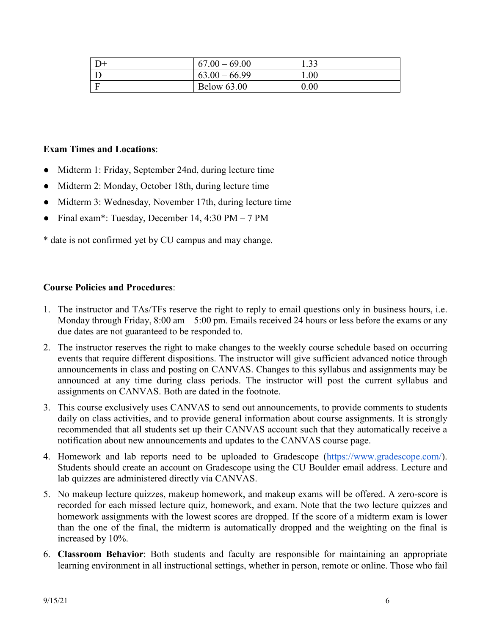| $D+$ | $67.00 - 69.00$    | 1.33 |
|------|--------------------|------|
|      | $63.00 - 66.99$    | 00.1 |
|      | <b>Below 63.00</b> | 0.00 |

### **Exam Times and Locations**:

- Midterm 1: Friday, September 24nd, during lecture time
- Midterm 2: Monday, October 18th, during lecture time
- Midterm 3: Wednesday, November 17th, during lecture time
- Final exam\*: Tuesday, December 14, 4:30 PM 7 PM

\* date is not confirmed yet by CU campus and may change.

#### **Course Policies and Procedures**:

- 1. The instructor and TAs/TFs reserve the right to reply to email questions only in business hours, i.e. Monday through Friday, 8:00 am – 5:00 pm. Emails received 24 hours or less before the exams or any due dates are not guaranteed to be responded to.
- 2. The instructor reserves the right to make changes to the weekly course schedule based on occurring events that require different dispositions. The instructor will give sufficient advanced notice through announcements in class and posting on CANVAS. Changes to this syllabus and assignments may be announced at any time during class periods. The instructor will post the current syllabus and assignments on CANVAS. Both are dated in the footnote.
- 3. This course exclusively uses CANVAS to send out announcements, to provide comments to students daily on class activities, and to provide general information about course assignments. It is strongly recommended that all students set up their CANVAS account such that they automatically receive a notification about new announcements and updates to the CANVAS course page.
- 4. Homework and lab reports need to be uploaded to Gradescope [\(https://www.gradescope.com/\)](https://www.gradescope.com/). Students should create an account on Gradescope using the CU Boulder email address. Lecture and lab quizzes are administered directly via CANVAS.
- 5. No makeup lecture quizzes, makeup homework, and makeup exams will be offered. A zero-score is recorded for each missed lecture quiz, homework, and exam. Note that the two lecture quizzes and homework assignments with the lowest scores are dropped. If the score of a midterm exam is lower than the one of the final, the midterm is automatically dropped and the weighting on the final is increased by 10%.
- 6. **Classroom Behavior**: Both students and faculty are responsible for maintaining an appropriate learning environment in all instructional settings, whether in person, remote or online. Those who fail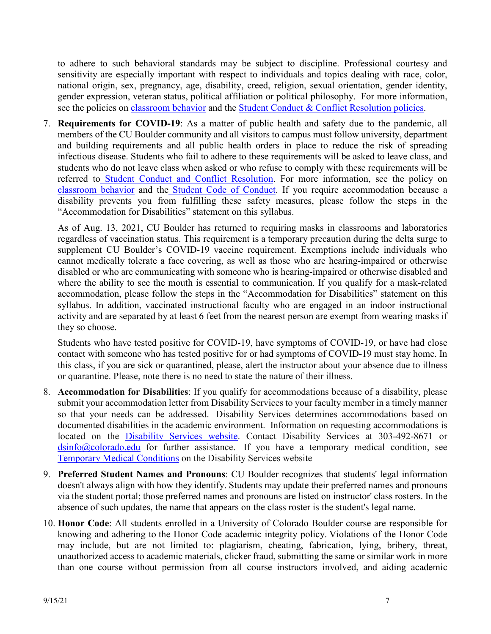to adhere to such behavioral standards may be subject to discipline. Professional courtesy and sensitivity are especially important with respect to individuals and topics dealing with race, color, national origin, sex, pregnancy, age, disability, creed, religion, sexual orientation, gender identity, gender expression, veteran status, political affiliation or political philosophy. For more information, see the policies on [classroom behavior](http://www.colorado.edu/policies/student-classroom-and-course-related-behavior) and the [Student Conduct & Conflict Resolution policies.](https://www.colorado.edu/sccr/student-conduct)

7. **Requirements for COVID-19**: As a matter of public health and safety due to the pandemic, all members of the CU Boulder community and all visitors to campus must follow university, department and building requirements and all public health orders in place to reduce the risk of spreading infectious disease. Students who fail to adhere to these requirements will be asked to leave class, and students who do not leave class when asked or who refuse to comply with these requirements will be referred t[o](https://www.colorado.edu/sccr/) [Student Conduct and Conflict Resolution.](https://www.colorado.edu/sccr/) For more information, see the policy o[n](https://www.colorado.edu/policies/covid-19-health-and-safety-policy) [classroom behavior](http://www.colorado.edu/policies/student-classroom-and-course-related-behavior) and the [Student Code of Conduct.](http://www.colorado.edu/osccr/) If you require accommodation because a disability prevents you from fulfilling these safety measures, please follow the steps in the "Accommodation for Disabilities" statement on this syllabus.

As of Aug. 13, 2021, CU Boulder has returned to requiring masks in classrooms and laboratories regardless of vaccination status. This requirement is a temporary precaution during the delta surge to supplement CU Boulder's COVID-19 vaccine requirement. Exemptions include individuals who cannot medically tolerate a face covering, as well as those who are hearing-impaired or otherwise disabled or who are communicating with someone who is hearing-impaired or otherwise disabled and where the ability to see the mouth is essential to communication. If you qualify for a mask-related accommodation, please follow the steps in the "Accommodation for Disabilities" statement on this syllabus. In addition, vaccinated instructional faculty who are engaged in an indoor instructional activity and are separated by at least 6 feet from the nearest person are exempt from wearing masks if they so choose.

Students who have tested positive for COVID-19, have symptoms of COVID-19, or have had close contact with someone who has tested positive for or had symptoms of COVID-19 must stay home. In this class, if you are sick or quarantined, please, alert the instructor about your absence due to illness or quarantine. Please, note there is no need to state the nature of their illness.

- 8. **Accommodation for Disabilities**: If you qualify for accommodations because of a disability, please submit your accommodation letter from Disability Services to your faculty member in a timely manner so that your needs can be addressed. Disability Services determines accommodations based on documented disabilities in the academic environment. Information on requesting accommodations is located on the [Disability Services website.](https://www.colorado.edu/disabilityservices/) Contact Disability Services at 303-492-8671 or  $\frac{\text{d} \sin 6(a) \cdot \text{colorado.edu}}{\text{colorado.edu}}$  for further assistance. If you have a temporary medical condition, see [Temporary Medical Conditions](http://www.colorado.edu/disabilityservices/students/temporary-medical-conditions) on the Disability Services website
- 9. **Preferred Student Names and Pronouns**: CU Boulder recognizes that students' legal information doesn't always align with how they identify. Students may update their preferred names and pronouns via the student portal; those preferred names and pronouns are listed on instructor' class rosters. In the absence of such updates, the name that appears on the class roster is the student's legal name.
- 10. **Honor Code**: All students enrolled in a University of Colorado Boulder course are responsible for knowing and adhering to the Honor Code academic integrity policy. Violations of the Honor Code may include, but are not limited to: plagiarism, cheating, fabrication, lying, bribery, threat, unauthorized access to academic materials, clicker fraud, submitting the same or similar work in more than one course without permission from all course instructors involved, and aiding academic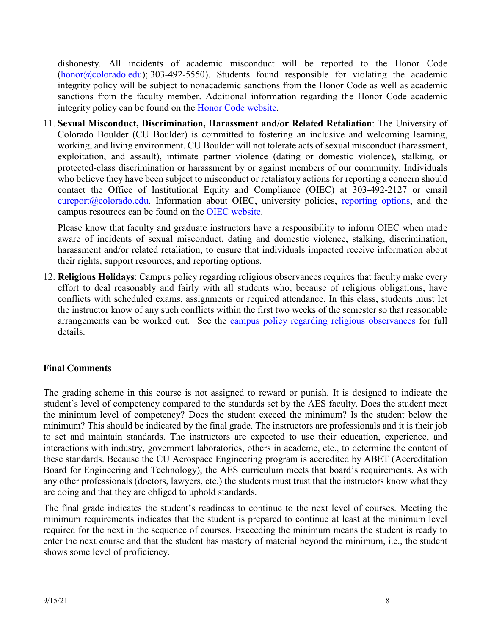dishonesty. All incidents of academic misconduct will be reported to the Honor Code  $(honor@colorado.edu);$  $(honor@colorado.edu);$  303-492-5550). Students found responsible for violating the academic integrity policy will be subject to nonacademic sanctions from the Honor Code as well as academic sanctions from the faculty member. Additional information regarding the Honor Code academic integrity policy can be found on the [Honor Code website.](https://www.colorado.edu/osccr/honor-code)

11. **Sexual Misconduct, Discrimination, Harassment and/or Related Retaliation**: The University of Colorado Boulder (CU Boulder) is committed to fostering an inclusive and welcoming learning, working, and living environment. CU Boulder will not tolerate acts of sexual misconduct (harassment, exploitation, and assault), intimate partner violence (dating or domestic violence), stalking, or protected-class discrimination or harassment by or against members of our community. Individuals who believe they have been subject to misconduct or retaliatory actions for reporting a concern should contact the Office of Institutional Equity and Compliance (OIEC) at 303-492-2127 or email [cureport@colorado.edu.](mailto:cureport@colorado.edu) Information about OIEC, university policies, [reporting options,](https://www.colorado.edu/oiec/reporting-resolutions/making-report) and the campus resources can be found on the [OIEC website.](http://www.colorado.edu/institutionalequity/)

Please know that faculty and graduate instructors have a responsibility to inform OIEC when made aware of incidents of sexual misconduct, dating and domestic violence, stalking, discrimination, harassment and/or related retaliation, to ensure that individuals impacted receive information about their rights, support resources, and reporting options.

12. **Religious Holidays**: Campus policy regarding religious observances requires that faculty make every effort to deal reasonably and fairly with all students who, because of religious obligations, have conflicts with scheduled exams, assignments or required attendance. In this class, students must let the instructor know of any such conflicts within the first two weeks of the semester so that reasonable arrangements can be worked out. See the [campus policy regarding religious observances](http://www.colorado.edu/policies/observance-religious-holidays-and-absences-classes-andor-exams) for full details.

# **Final Comments**

The grading scheme in this course is not assigned to reward or punish. It is designed to indicate the student's level of competency compared to the standards set by the AES faculty. Does the student meet the minimum level of competency? Does the student exceed the minimum? Is the student below the minimum? This should be indicated by the final grade. The instructors are professionals and it is their job to set and maintain standards. The instructors are expected to use their education, experience, and interactions with industry, government laboratories, others in academe, etc., to determine the content of these standards. Because the CU Aerospace Engineering program is accredited by ABET (Accreditation Board for Engineering and Technology), the AES curriculum meets that board's requirements. As with any other professionals (doctors, lawyers, etc.) the students must trust that the instructors know what they are doing and that they are obliged to uphold standards.

The final grade indicates the student's readiness to continue to the next level of courses. Meeting the minimum requirements indicates that the student is prepared to continue at least at the minimum level required for the next in the sequence of courses. Exceeding the minimum means the student is ready to enter the next course and that the student has mastery of material beyond the minimum, i.e., the student shows some level of proficiency.